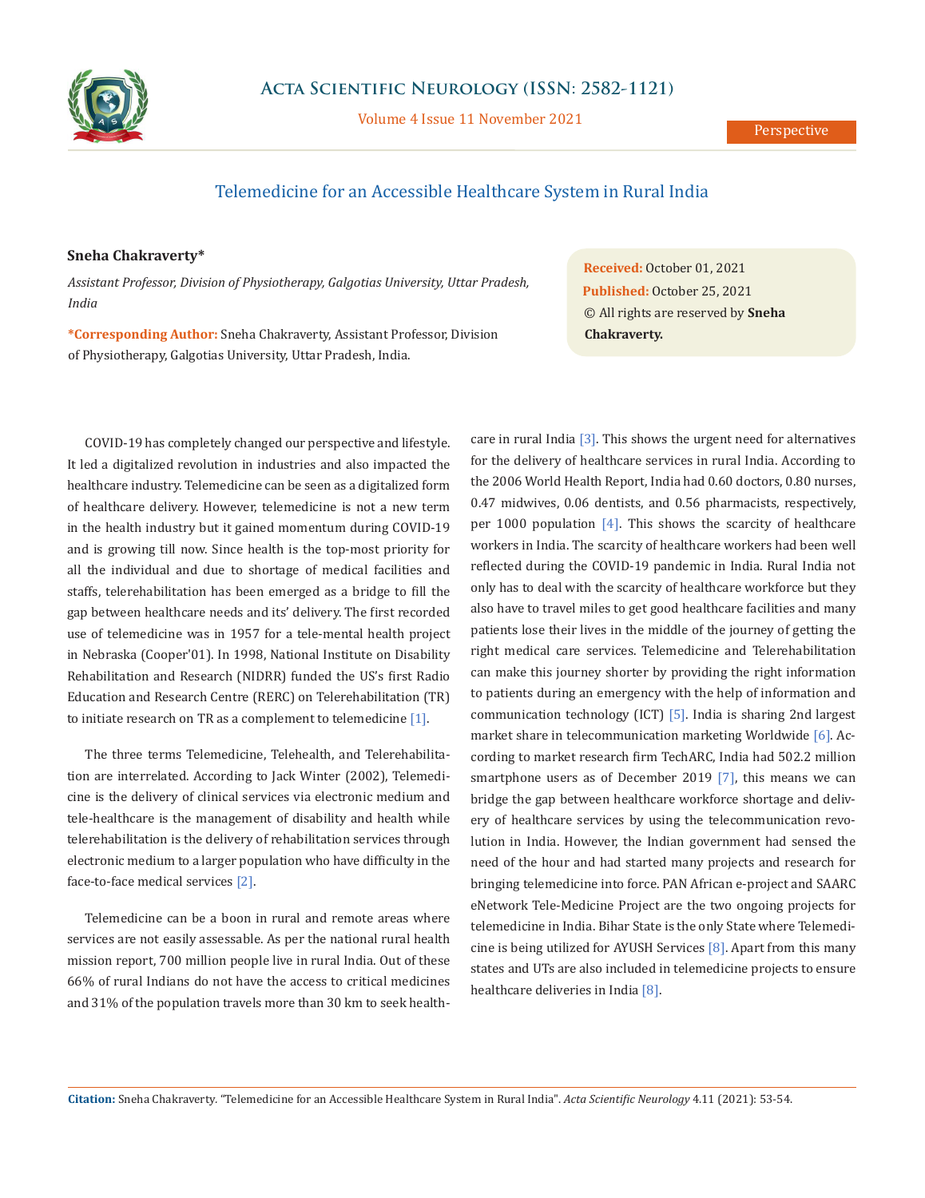

Volume 4 Issue 11 November 2021

## Telemedicine for an Accessible Healthcare System in Rural India

## **Sneha Chakraverty\***

*Assistant Professor, Division of Physiotherapy, Galgotias University, Uttar Pradesh, India*

**\*Corresponding Author:** Sneha Chakraverty, Assistant Professor, Division of Physiotherapy, Galgotias University, Uttar Pradesh, India.

COVID-19 has completely changed our perspective and lifestyle. It led a digitalized revolution in industries and also impacted the healthcare industry. Telemedicine can be seen as a digitalized form of healthcare delivery. However, telemedicine is not a new term in the health industry but it gained momentum during COVID-19 and is growing till now. Since health is the top-most priority for all the individual and due to shortage of medical facilities and staffs, telerehabilitation has been emerged as a bridge to fill the gap between healthcare needs and its' delivery. The first recorded use of telemedicine was in 1957 for a tele-mental health project in Nebraska (Cooper'01). In 1998, National Institute on Disability Rehabilitation and Research (NIDRR) funded the US's first Radio Education and Research Centre (RERC) on Telerehabilitation (TR) to initiate research on TR as a complement to telemedicine [1].

The three terms Telemedicine, Telehealth, and Telerehabilitation are interrelated. According to Jack Winter (2002), Telemedicine is the delivery of clinical services via electronic medium and tele-healthcare is the management of disability and health while telerehabilitation is the delivery of rehabilitation services through electronic medium to a larger population who have difficulty in the face-to-face medical services [2].

Telemedicine can be a boon in rural and remote areas where services are not easily assessable. As per the national rural health mission report, 700 million people live in rural India. Out of these 66% of rural Indians do not have the access to critical medicines and 31% of the population travels more than 30 km to seek health-

**Received:** October 01, 2021 **Published:** October 25, 2021 © All rights are reserved by **Sneha Chakraverty.**

care in rural India [3]. This shows the urgent need for alternatives for the delivery of healthcare services in rural India. According to the 2006 World Health Report, India had 0.60 doctors, 0.80 nurses, 0.47 midwives, 0.06 dentists, and 0.56 pharmacists, respectively, per 1000 population  $[4]$ . This shows the scarcity of healthcare workers in India. The scarcity of healthcare workers had been well reflected during the COVID-19 pandemic in India. Rural India not only has to deal with the scarcity of healthcare workforce but they also have to travel miles to get good healthcare facilities and many patients lose their lives in the middle of the journey of getting the right medical care services. Telemedicine and Telerehabilitation can make this journey shorter by providing the right information to patients during an emergency with the help of information and communication technology (ICT) [5]. India is sharing 2nd largest market share in telecommunication marketing Worldwide [6]. According to market research firm TechARC, India had 502.2 million smartphone users as of December 2019 [7], this means we can bridge the gap between healthcare workforce shortage and delivery of healthcare services by using the telecommunication revolution in India. However, the Indian government had sensed the need of the hour and had started many projects and research for bringing telemedicine into force. PAN African e-project and SAARC eNetwork Tele-Medicine Project are the two ongoing projects for telemedicine in India. Bihar State is the only State where Telemedicine is being utilized for AYUSH Services [8]. Apart from this many states and UTs are also included in telemedicine projects to ensure healthcare deliveries in India [8].